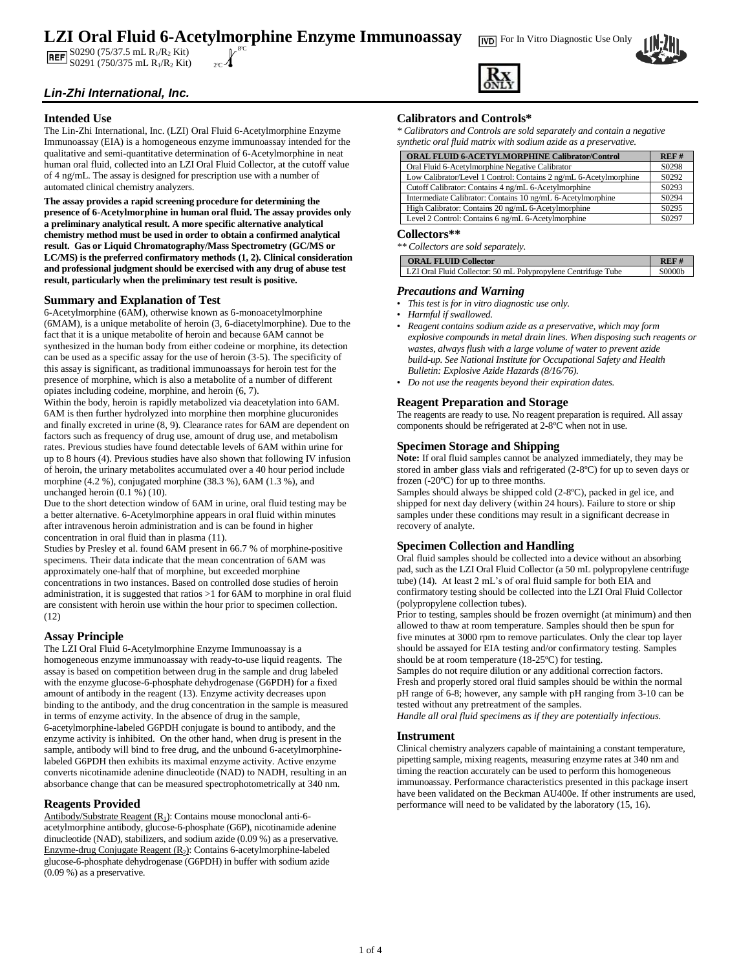### **LZI Oral Fluid 6-Acetylmorphine Enzyme Immunoassay** For In Vitro Diagnostic Use Only 8ºC

**BEE** S0290 (75/37.5 mL R<sub>1</sub>/R<sub>2</sub> Kit) **REF** S0291 (750/375 mL R<sub>1</sub>/R<sub>2</sub> Kit)  $_{2^{\circ}C}$ 

# *Lin-Zhi International, Inc.*

### **Intended Use**

The Lin-Zhi International, Inc. (LZI) Oral Fluid 6-Acetylmorphine Enzyme Immunoassay (EIA) is a homogeneous enzyme immunoassay intended for the qualitative and semi-quantitative determination of 6-Acetylmorphine in neat human oral fluid, collected into an LZI Oral Fluid Collector, at the cutoff value of 4 ng/mL. The assay is designed for prescription use with a number of automated clinical chemistry analyzers.

**The assay provides a rapid screening procedure for determining the presence of 6-Acetylmorphine in human oral fluid. The assay provides only a preliminary analytical result. A more specific alternative analytical chemistry method must be used in order to obtain a confirmed analytical result. Gas or Liquid Chromatography/Mass Spectrometry (GC/MS or LC/MS) is the preferred confirmatory methods (1, 2). Clinical consideration and professional judgment should be exercised with any drug of abuse test result, particularly when the preliminary test result is positive.** 

### **Summary and Explanation of Test**

6-Acetylmorphine (6AM), otherwise known as 6-monoacetylmorphine (6MAM), is a unique metabolite of heroin (3, 6-diacetylmorphine). Due to the fact that it is a unique metabolite of heroin and because 6AM cannot be synthesized in the human body from either codeine or morphine, its detection can be used as a specific assay for the use of heroin (3-5). The specificity of this assay is significant, as traditional immunoassays for heroin test for the presence of morphine, which is also a metabolite of a number of different opiates including codeine, morphine, and heroin (6, 7).

Within the body, heroin is rapidly metabolized via deacetylation into 6AM. 6AM is then further hydrolyzed into morphine then morphine glucuronides and finally excreted in urine (8, 9). Clearance rates for 6AM are dependent on factors such as frequency of drug use, amount of drug use, and metabolism rates. Previous studies have found detectable levels of 6AM within urine for up to 8 hours (4). Previous studies have also shown that following IV infusion of heroin, the urinary metabolites accumulated over a 40 hour period include morphine (4.2 %), conjugated morphine (38.3 %), 6AM (1.3 %), and unchanged heroin (0.1 %) (10).

Due to the short detection window of 6AM in urine, oral fluid testing may be a better alternative. 6-Acetylmorphine appears in oral fluid within minutes after intravenous heroin administration and is can be found in higher concentration in oral fluid than in plasma (11).

Studies by Presley et al. found 6AM present in 66.7 % of morphine-positive specimens. Their data indicate that the mean concentration of 6AM was approximately one-half that of morphine, but exceeded morphine concentrations in two instances. Based on controlled dose studies of heroin administration, it is suggested that ratios >1 for 6AM to morphine in oral fluid are consistent with heroin use within the hour prior to specimen collection.  $(12)$ 

# **Assay Principle**

The LZI Oral Fluid 6-Acetylmorphine Enzyme Immunoassay is a homogeneous enzyme immunoassay with ready-to-use liquid reagents. The assay is based on competition between drug in the sample and drug labeled with the enzyme glucose-6-phosphate dehydrogenase (G6PDH) for a fixed amount of antibody in the reagent (13). Enzyme activity decreases upon binding to the antibody, and the drug concentration in the sample is measured in terms of enzyme activity. In the absence of drug in the sample, 6-acetylmorphine-labeled G6PDH conjugate is bound to antibody, and the enzyme activity is inhibited. On the other hand, when drug is present in the sample, antibody will bind to free drug, and the unbound 6-acetylmorphinelabeled G6PDH then exhibits its maximal enzyme activity. Active enzyme converts nicotinamide adenine dinucleotide (NAD) to NADH, resulting in an absorbance change that can be measured spectrophotometrically at 340 nm.

#### **Reagents Provided**

Antibody/Substrate Reagent (R<sub>1</sub>): Contains mouse monoclonal anti-6acetylmorphine antibody, glucose-6-phosphate (G6P), nicotinamide adenine dinucleotide (NAD), stabilizers, and sodium azide (0.09 %) as a preservative. Enzyme-drug Conjugate Reagent (R2): Contains 6-acetylmorphine-labeled glucose-6-phosphate dehydrogenase (G6PDH) in buffer with sodium azide (0.09 %) as a preservative.

# **Calibrators and Controls\***

*\* Calibrators and Controls are sold separately and contain a negative synthetic oral fluid matrix with sodium azide as a preservative.*

| <b>ORAL FLUID 6-ACETYLMORPHINE Calibrator/Control</b>             | REF#  |
|-------------------------------------------------------------------|-------|
| Oral Fluid 6-Acetylmorphine Negative Calibrator                   | S0298 |
| Low Calibrator/Level 1 Control: Contains 2 ng/mL 6-Acetylmorphine | S0292 |
| Cutoff Calibrator: Contains 4 ng/mL 6-Acetylmorphine              | S0293 |
| Intermediate Calibrator: Contains 10 ng/mL 6-Acetylmorphine       | S0294 |
| High Calibrator: Contains 20 ng/mL 6-Acetylmorphine               | S0295 |
| Level 2 Control: Contains 6 ng/mL 6-Acetylmorphine                | S0297 |

#### **Collectors\*\***

| ** Collectors are sold separately.                            |        |
|---------------------------------------------------------------|--------|
| <b>ORAL FLUID Collector</b>                                   | REF#   |
| LZI Oral Fluid Collector: 50 mL Polypropylene Centrifuge Tube | S0000b |

### *Precautions and Warning*

- *This test is for in vitro diagnostic use only.*
- *Harmful if swallowed.*
- *Reagent contains sodium azide as a preservative, which may form explosive compounds in metal drain lines. When disposing such reagents or wastes, always flush with a large volume of water to prevent azide build-up. See National Institute for Occupational Safety and Health Bulletin: Explosive Azide Hazards (8/16/76).*
- *Do not use the reagents beyond their expiration dates.*

### **Reagent Preparation and Storage**

The reagents are ready to use. No reagent preparation is required. All assay components should be refrigerated at 2-8ºC when not in use.

#### **Specimen Storage and Shipping**

**Note:** If oral fluid samples cannot be analyzed immediately, they may be stored in amber glass vials and refrigerated (2-8ºC) for up to seven days or frozen (-20ºC) for up to three months.

Samples should always be shipped cold (2-8ºC), packed in gel ice, and shipped for next day delivery (within 24 hours). Failure to store or ship samples under these conditions may result in a significant decrease in recovery of analyte.

#### **Specimen Collection and Handling**

Oral fluid samples should be collected into a device without an absorbing pad, such as the LZI Oral Fluid Collector (a 50 mL polypropylene centrifuge tube) (14). At least 2 mL's of oral fluid sample for both EIA and confirmatory testing should be collected into the LZI Oral Fluid Collector (polypropylene collection tubes).

Prior to testing, samples should be frozen overnight (at minimum) and then allowed to thaw at room temperature. Samples should then be spun for five minutes at 3000 rpm to remove particulates. Only the clear top layer should be assayed for EIA testing and/or confirmatory testing. Samples should be at room temperature (18-25ºC) for testing.

Samples do not require dilution or any additional correction factors. Fresh and properly stored oral fluid samples should be within the normal pH range of 6-8; however, any sample with pH ranging from 3-10 can be tested without any pretreatment of the samples.

*Handle all oral fluid specimens as if they are potentially infectious.* 

#### **Instrument**

Clinical chemistry analyzers capable of maintaining a constant temperature, pipetting sample, mixing reagents, measuring enzyme rates at 340 nm and timing the reaction accurately can be used to perform this homogeneous immunoassay. Performance characteristics presented in this package insert have been validated on the Beckman AU400e. If other instruments are used, performance will need to be validated by the laboratory (15, 16).



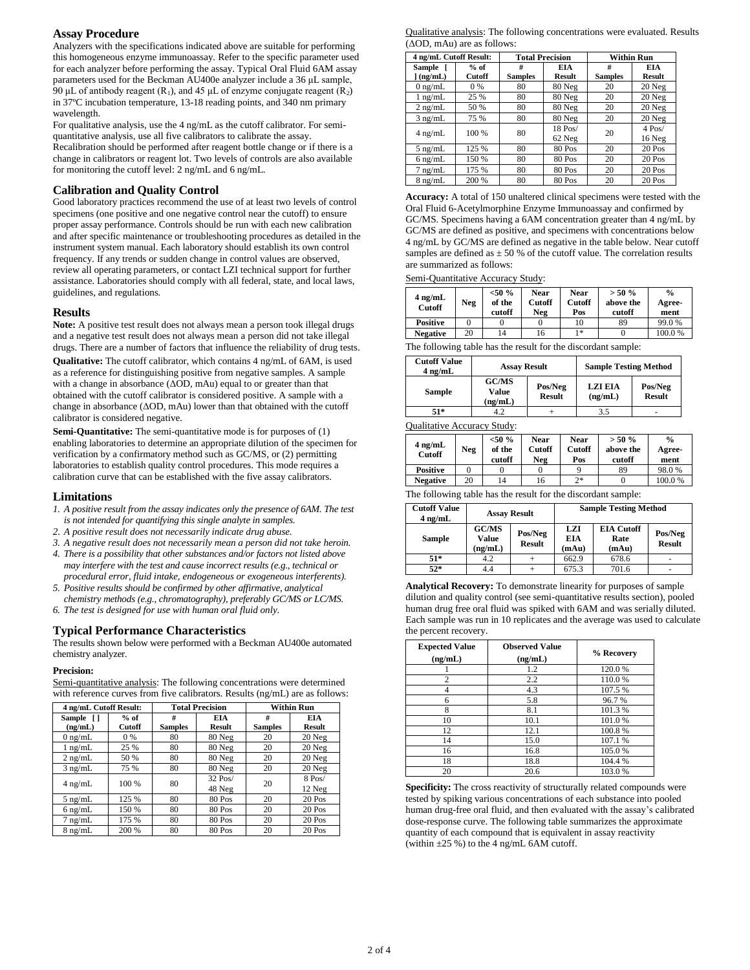## **Assay Procedure**

Analyzers with the specifications indicated above are suitable for performing this homogeneous enzyme immunoassay. Refer to the specific parameter used for each analyzer before performing the assay. Typical Oral Fluid 6AM assay parameters used for the Beckman AU400e analyzer include a 36 μL sample, 90 μL of antibody reagent (R<sub>1</sub>), and 45 μL of enzyme conjugate reagent (R<sub>2</sub>) in 37ºC incubation temperature, 13-18 reading points, and 340 nm primary wavelength.

For qualitative analysis, use the 4 ng/mL as the cutoff calibrator. For semiquantitative analysis, use all five calibrators to calibrate the assay.

Recalibration should be performed after reagent bottle change or if there is a change in calibrators or reagent lot. Two levels of controls are also available for monitoring the cutoff level: 2 ng/mL and 6 ng/mL.

### **Calibration and Quality Control**

Good laboratory practices recommend the use of at least two levels of control specimens (one positive and one negative control near the cutoff) to ensure proper assay performance. Controls should be run with each new calibration and after specific maintenance or troubleshooting procedures as detailed in the instrument system manual. Each laboratory should establish its own control frequency. If any trends or sudden change in control values are observed, review all operating parameters, or contact LZI technical support for further assistance. Laboratories should comply with all federal, state, and local laws, guidelines, and regulations.

### **Results**

**Note:** A positive test result does not always mean a person took illegal drugs and a negative test result does not always mean a person did not take illegal drugs. There are a number of factors that influence the reliability of drug tests.

**Qualitative:** The cutoff calibrator, which contains 4 ng/mL of 6AM, is used as a reference for distinguishing positive from negative samples. A sample with a change in absorbance (ΔOD, mAu) equal to or greater than that obtained with the cutoff calibrator is considered positive. A sample with a change in absorbance (ΔOD, mAu) lower than that obtained with the cutoff calibrator is considered negative.

**Semi-Quantitative:** The semi-quantitative mode is for purposes of (1) enabling laboratories to determine an appropriate dilution of the specimen for verification by a confirmatory method such as GC/MS, or (2) permitting laboratories to establish quality control procedures. This mode requires a calibration curve that can be established with the five assay calibrators.

#### **Limitations**

- *1. A positive result from the assay indicates only the presence of 6AM. The test is not intended for quantifying this single analyte in samples.*
- *2. A positive result does not necessarily indicate drug abuse.*
- *3. A negative result does not necessarily mean a person did not take heroin.*
- *4. There is a possibility that other substances and/or factors not listed above may interfere with the test and cause incorrect results (e.g., technical or procedural error, fluid intake, endogeneous or exogeneous interferents).*
- *5. Positive results should be confirmed by other affirmative, analytical chemistry methods (e.g., chromatography), preferably GC/MS or LC/MS.*
- *6. The test is designed for use with human oral fluid only.*

#### **Typical Performance Characteristics**

The results shown below were performed with a Beckman AU400e automated chemistry analyzer.

#### **Precision:**

**4 ng/mL Cutoff Result: Total Precision Within Run Sample [ ] (ng/mL) % of Cutoff # Samples EIA Result # Samples EIA Result** 0 ng/mL 0 % 80 80 Neg 20 20 Neg 1 ng/mL 25 % 80 80 Neg 20 20 Neg 2 ng/mL 50 % 80 80 Neg 20 20 Neg 3 ng/mL 75 % 80 80 Neg 20 20 Neg  $4 \text{ ng/mL}$  100 % 80  $\frac{32 \text{ Pos}}{49 \text{ Npc}}$ 32 Pos/ 20 8 Pos/<br>48 Neg 20 12 Neg 12 Neg 5 ng/mL 125 % 80 80 Pos 20 20 Pos<br>6 ng/mL 150 % 80 80 Pos 20 20 Pos 0 ng/mL 150 % 80 80 Pos 20 20 Pos<br>7 ng/mL 175 % 80 80 Pos 20 20 Pos 7 ng/mL 175 % 80 80 Pos 20 20 Pos 8 ng/mL 200 % 80 80 Pos 20 20 Pos

Semi-quantitative analysis: The following concentrations were determined with reference curves from five calibrators. Results (ng/mL) are as follows:

Qualitative analysis: The following concentrations were evaluated. Results (ΔOD, mAu) are as follows:

| 4 ng/mL Cutoff Result: |        |                | <b>Total Precision</b> | <b>Within Run</b> |          |  |
|------------------------|--------|----------------|------------------------|-------------------|----------|--|
| Sample [               | $%$ of | #              | <b>EIA</b>             | #                 | EIA      |  |
| $\vert$ (ng/mL)        | Cutoff | <b>Samples</b> | <b>Result</b>          | <b>Samples</b>    | Result   |  |
| $0$ ng/mL              | 0 %    | 80             | 80 Neg                 | 20                | $20$ Neg |  |
| $1$ ng/mL              | 25 %   | 80             | 80 Neg                 | 20                | $20$ Neg |  |
| $2$ ng/mL              | 50 %   | 80             | 80 Neg                 | 20                | 20 Neg   |  |
| $3$ ng/mL              | 75 %   | 80             | 80 Neg                 | 20                | 20 Neg   |  |
| $4$ ng/mL              | 100 %  | 80             | 18 Pos/                | 20                | $4$ Pos/ |  |
|                        |        |                | 62 Neg                 |                   | 16 Neg   |  |
| $5$ ng/mL              | 125 %  | 80             | 80 Pos                 | 20                | 20 Pos   |  |
| $6$ ng/mL              | 150 %  | 80             | 80 Pos                 | 20                | 20 Pos   |  |
| $7$ ng/mL              | 175 %  | 80             | 80 Pos                 | 20                | 20 Pos   |  |
| $8$ ng/mL              | 200 %  | 80             | 80 Pos                 | 20                | 20 Pos   |  |

**Accuracy:** A total of 150 unaltered clinical specimens were tested with the Oral Fluid 6-Acetylmorphine Enzyme Immunoassay and confirmed by GC/MS. Specimens having a 6AM concentration greater than 4 ng/mL by GC/MS are defined as positive, and specimens with concentrations below 4 ng/mL by GC/MS are defined as negative in the table below. Near cutoff samples are defined as  $\pm$  50 % of the cutoff value. The correlation results are summarized as follows:

Semi-Quantitative Accuracy Study:

| $4$ ng/mL<br><b>Cutoff</b> | Neg | $<$ 50 %<br>of the<br>cutoff | <b>Near</b><br>Cutoff<br>Neg | <b>Near</b><br><b>Cutoff</b><br>Pos | $> 50 \%$<br>above the<br>cutoff | $\frac{0}{0}$<br>Agree-<br>ment |
|----------------------------|-----|------------------------------|------------------------------|-------------------------------------|----------------------------------|---------------------------------|
| <b>Positive</b>            |     |                              |                              | 10                                  | 89                               | 99.0%                           |
| <b>Negative</b>            | 20  | 14                           | 16                           | 1 *                                 |                                  | 100.0%                          |

The following table has the result for the discordant sample:

| <b>Cutoff Value</b><br>$4$ ng/mL                  | <b>Assay Result</b> |                          | <b>Sample Testing Method</b> |                          |  |
|---------------------------------------------------|---------------------|--------------------------|------------------------------|--------------------------|--|
| <b>GC/MS</b><br><b>Sample</b><br>Value<br>(ng/mL) |                     | Pos/Neg<br><b>Result</b> | <b>LZI EIA</b><br>(ng/mL)    | Pos/Neg<br><b>Result</b> |  |
| $51*$                                             |                     |                          | 3.5                          | ۰                        |  |

Qualitative Accuracy Study:

| $4$ ng/mL<br><b>Cutoff</b> | Neg | $<$ 50 %<br>of the<br>cutoff | <b>Near</b><br>Cutoff<br>Neg | <b>Near</b><br><b>Cutoff</b><br>Pos | $> 50 \%$<br>above the<br>cutoff | $\frac{0}{0}$<br>Agree-<br>ment |
|----------------------------|-----|------------------------------|------------------------------|-------------------------------------|----------------------------------|---------------------------------|
| <b>Positive</b>            |     |                              |                              |                                     | 89                               | 98.0%                           |
| <b>Negative</b>            | 20  | 14                           | 16                           | つ*                                  |                                  | 100.0%                          |

The following table has the result for the discordant sample:

| <b>Cutoff Value</b><br>$4$ ng/mL | <b>Assay Result</b>                          |                          | <b>Sample Testing Method</b> |                                    |                          |
|----------------------------------|----------------------------------------------|--------------------------|------------------------------|------------------------------------|--------------------------|
| <b>Sample</b>                    | GC/MS<br>Value<br>$\mathbf{np}(\mathbf{mL})$ | Pos/Neg<br><b>Result</b> |                              | <b>EIA Cutoff</b><br>Rate<br>(mAu) | Pos/Neg<br><b>Result</b> |
| 51*                              | 4.2                                          |                          | 662.9                        | 678.6                              | $\overline{\phantom{a}}$ |
| $52*$                            | 4.4                                          |                          | 675.3                        | 701.6                              | ٠                        |

**Analytical Recovery:** To demonstrate linearity for purposes of sample dilution and quality control (see semi-quantitative results section), pooled human drug free oral fluid was spiked with 6AM and was serially diluted. Each sample was run in 10 replicates and the average was used to calculate the percent recovery.

| <b>Expected Value</b><br>(ng/mL) | <b>Observed Value</b><br>(ng/mL) | % Recovery |
|----------------------------------|----------------------------------|------------|
|                                  | 1.2                              | 120.0%     |
| $\overline{2}$                   | 2.2                              | 110.0%     |
| 4                                | 4.3                              | 107.5 %    |
| 6                                | 5.8                              | 96.7%      |
| 8                                | 8.1                              | 101.3%     |
| 10                               | 10.1                             | 101.0%     |
| 12                               | 12.1                             | 100.8%     |
| 14                               | 15.0                             | 107.1 %    |
| 16                               | 16.8                             | 105.0 %    |
| 18                               | 18.8                             | 104.4 %    |
| 20                               | 20.6                             | 103.0%     |

**Specificity:** The cross reactivity of structurally related compounds were tested by spiking various concentrations of each substance into pooled human drug-free oral fluid, and then evaluated with the assay's calibrated dose-response curve. The following table summarizes the approximate quantity of each compound that is equivalent in assay reactivity (within  $\pm 25$  %) to the 4 ng/mL 6AM cutoff.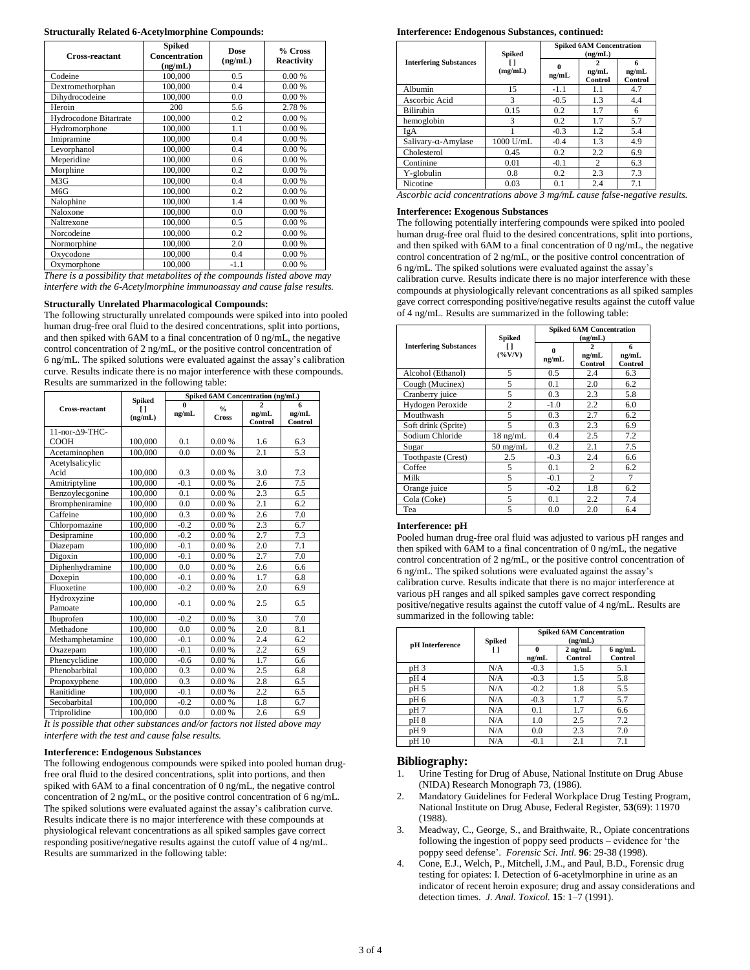| Cross-reactant         | <b>Spiked</b><br>Concentration<br>(ng/mL) |        | % Cross<br><b>Reactivity</b> |
|------------------------|-------------------------------------------|--------|------------------------------|
| Codeine                | 100,000                                   | 0.5    | 0.00%                        |
| Dextromethorphan       | 100,000                                   | 0.4    | 0.00%                        |
| Dihydrocodeine         | 100,000                                   | 0.0    | 0.00%                        |
| Heroin                 | 200                                       | 5.6    | 2.78 %                       |
| Hydrocodone Bitartrate | 100,000                                   | 0.2    | 0.00%                        |
| Hydromorphone          | 100,000                                   | 1.1    | 0.00%                        |
| Imipramine             | 100,000                                   | 0.4    | 0.00%                        |
| Levorphanol            | 100,000                                   | 0.4    | 0.00%                        |
| Meperidine             | 100,000                                   | 0.6    | 0.00%                        |
| Morphine               | 100,000                                   | 0.2    | 0.00%                        |
| M3G                    | 100,000                                   | 0.4    | 0.00%                        |
| M6G                    | 100,000                                   | 0.2    | 0.00%                        |
| Nalophine              | 100,000                                   | 1.4    | 0.00 %                       |
| Naloxone               | 100,000                                   | 0.0    | 0.00%                        |
| Naltrexone             | 100,000                                   | 0.5    | 0.00%                        |
| Norcodeine             | 100,000                                   | 0.2    | 0.00%                        |
| Normorphine            | 100,000                                   | 2.0    | 0.00%                        |
| Oxycodone              | 100,000                                   | 0.4    | 0.00%                        |
| Oxymorphone            | 100,000                                   | $-1.1$ | 0.00%                        |

*There is a possibility that metabolites of the compounds listed above may interfere with the 6-Acetylmorphine immunoassay and cause false results.*

#### **Structurally Unrelated Pharmacological Compounds:**

The following structurally unrelated compounds were spiked into into pooled human drug-free oral fluid to the desired concentrations, split into portions, and then spiked with 6AM to a final concentration of 0 ng/mL, the negative control concentration of 2 ng/mL, or the positive control concentration of 6 ng/mL. The spiked solutions were evaluated against the assay's calibration curve. Results indicate there is no major interference with these compounds. Results are summarized in the following table:

|                        | Spiked  |                         | Spiked 6AM Concentration (ng/mL) |                  |                  |  |  |
|------------------------|---------|-------------------------|----------------------------------|------------------|------------------|--|--|
| <b>Cross-reactant</b>  | $\Box$  | $\overline{0}$<br>ng/mL | $\frac{0}{\alpha}$               | ng/mL            | 6<br>ng/mL       |  |  |
|                        | (ng/mL) |                         | <b>Cross</b>                     | Control          | Control          |  |  |
| 11-nor-∆9-THC-         |         |                         |                                  |                  |                  |  |  |
| <b>COOH</b>            | 100,000 | 0.1                     | 0.00%                            | 1.6              | 6.3              |  |  |
| Acetaminophen          | 100,000 | 0.0                     | 0.00 %                           | 2.1              | $\overline{5.3}$ |  |  |
| Acetylsalicylic        |         |                         |                                  |                  |                  |  |  |
| Acid                   | 100,000 | 0.3                     | 0.00%                            | 3.0              | 7.3              |  |  |
| Amitriptyline          | 100,000 | $-0.1$                  | 0.00%                            | $\overline{2.6}$ | 7.5              |  |  |
| Benzoylecgonine        | 100,000 | 0.1                     | 0.00 %                           | 2.3              | 6.5              |  |  |
| Brompheniramine        | 100,000 | 0.0                     | 0.00 %                           | 2.1              | 6.2              |  |  |
| Caffeine               | 100,000 | 0.3                     | 0.00%                            | 2.6              | 7.0              |  |  |
| Chlorpomazine          | 100,000 | $-0.2$                  | 0.00%                            | 2.3              | 6.7              |  |  |
| Desipramine            | 100,000 | $-0.2$                  | 0.00%                            | 2.7              | 7.3              |  |  |
| Diazepam               | 100,000 | $-0.1$                  | 0.00%                            | 2.0              | 7.1              |  |  |
| Digoxin                | 100,000 | $-0.1$                  | 0.00%                            | 2.7              | $7.0\,$          |  |  |
| Diphenhydramine        | 100,000 | 0.0                     | 0.00%                            | 2.6              | 6.6              |  |  |
| Doxepin                | 100,000 | $-0.1$                  | 0.00%                            | 1.7              | 6.8              |  |  |
| Fluoxetine             | 100,000 | $-0.2$                  | 0.00%                            | 2.0              | 6.9              |  |  |
| Hydroxyzine<br>Pamoate | 100,000 | $-0.1$                  | 0.00%                            | 2.5              | 6.5              |  |  |
| Ibuprofen              | 100,000 | $-0.2$                  | 0.00%                            | 3.0              | 7.0              |  |  |
| Methadone              | 100,000 | 0.0                     | 0.00%                            | 2.0              | 8.1              |  |  |
| Methamphetamine        | 100,000 | $-0.1$                  | 0.00%                            | 2.4              | 6.2              |  |  |
| Oxazepam               | 100,000 | $-0.1$                  | 0.00 %                           | 2.2              | 6.9              |  |  |
| Phencyclidine          | 100,000 | $-0.6$                  | 0.00%                            | 1.7              | 6.6              |  |  |
| Phenobarbital          | 100,000 | 0.3                     | 0.00%                            | 2.5              | 6.8              |  |  |
| Propoxyphene           | 100,000 | 0.3                     | 0.00%                            | 2.8              | 6.5              |  |  |
| Ranitidine             | 100,000 | $-0.1$                  | 0.00%                            | 2.2              | 6.5              |  |  |
| Secobarbital           | 100,000 | $-0.2$                  | 0.00%                            | 1.8              | 6.7              |  |  |
| Triprolidine           | 100,000 | 0.0                     | 0.00%                            | 2.6              | 6.9              |  |  |

*It is possible that other substances and/or factors not listed above may interfere with the test and cause false results.*

#### **Interference: Endogenous Substances**

The following endogenous compounds were spiked into pooled human drugfree oral fluid to the desired concentrations, split into portions, and then spiked with 6AM to a final concentration of  $\overline{0}$  ng/mL, the negative control concentration of 2 ng/mL, or the positive control concentration of 6 ng/mL. The spiked solutions were evaluated against the assay's calibration curve. Results indicate there is no major interference with these compounds at physiological relevant concentrations as all spiked samples gave correct responding positive/negative results against the cutoff value of 4 ng/mL. Results are summarized in the following table:

#### **Interference: Endogenous Substances, continued:**

|                               |                   | <b>Spiked 6AM Concentration</b> |                             |                       |  |
|-------------------------------|-------------------|---------------------------------|-----------------------------|-----------------------|--|
| <b>Interfering Substances</b> | Spiked<br>(mg/mL) | 0<br>ng/mL                      | (ng/mL)<br>ng/mL<br>Control | 6<br>ng/mL<br>Control |  |
| Albumin                       | 15                | $-1.1$                          | 1.1                         | 4.7                   |  |
| Ascorbic Acid                 | 3                 | $-0.5$                          | 1.3                         | 4.4                   |  |
| <b>Bilirubin</b>              | 0.15              | 0.2                             | 1.7                         | 6                     |  |
| hemoglobin                    | 3                 | 0.2                             | 1.7                         | 5.7                   |  |
| IgA                           |                   | $-0.3$                          | 1.2                         | 5.4                   |  |
| $Salivary-\alpha-Amylase$     | $1000$ U/mL       | $-0.4$                          | 1.3                         | 4.9                   |  |
| Cholesterol                   | 0.45              | 0.2                             | 2.2                         | 6.9                   |  |
| Continine                     | 0.01              | $-0.1$                          | $\mathfrak{D}$              | 6.3                   |  |
| Y-globulin                    | 0.8               | 0.2                             | 2.3                         | 7.3                   |  |
| Nicotine                      | 0.03              | 0.1                             | 2.4                         | 7.1                   |  |

*Ascorbic acid concentrations above 3 mg/mL cause false-negative results.*

#### **Interference: Exogenous Substances**

The following potentially interfering compounds were spiked into pooled human drug-free oral fluid to the desired concentrations, split into portions, and then spiked with 6AM to a final concentration of 0 ng/mL, the negative control concentration of 2 ng/mL, or the positive control concentration of 6 ng/mL. The spiked solutions were evaluated against the assay's calibration curve. Results indicate there is no major interference with these compounds at physiologically relevant concentrations as all spiked samples gave correct corresponding positive/negative results against the cutoff value of 4 ng/mL. Results are summarized in the following table:

|                               | Spiked             | <b>Spiked 6AM Concentration</b><br>(ng/mL) |                       |                       |  |
|-------------------------------|--------------------|--------------------------------------------|-----------------------|-----------------------|--|
| <b>Interfering Substances</b> | U<br>$(\%V/V)$     | 0<br>ng/mL                                 | 2<br>ng/mL<br>Control | 6<br>ng/mL<br>Control |  |
| Alcohol (Ethanol)             | 5                  | 0.5                                        | 2.4                   | 6.3                   |  |
| Cough (Mucinex)               | 5                  | 0.1                                        | 2.0                   | 6.2                   |  |
| Cranberry juice               | 5                  | 0.3                                        | 2.3                   | 5.8                   |  |
| Hydogen Peroxide              | $\overline{c}$     | $-1.0$                                     | 2.2                   | 6.0                   |  |
| Mouthwash                     | 5                  | 0.3                                        | 2.7                   | 6.2                   |  |
| Soft drink (Sprite)           | 5                  | 0.3                                        | 2.3                   | 6.9                   |  |
| Sodium Chloride               | $18 \text{ ng/mL}$ | 0.4                                        | 2.5                   | 7.2                   |  |
| Sugar                         | $50 \text{ mg/mL}$ | 0.2                                        | 2.1                   | 7.5                   |  |
| Toothpaste (Crest)            | 2.5                | $-0.3$                                     | 2.4                   | 6.6                   |  |
| Coffee                        | 5                  | 0.1                                        | $\overline{c}$        | 6.2                   |  |
| Milk                          | 5                  | $-0.1$                                     | $\mathfrak{D}$        | 7                     |  |
| Orange juice                  | 5                  | $-0.2$                                     | 1.8                   | 6.2                   |  |
| Cola (Coke)                   | 5                  | 0.1                                        | 2.2                   | 7.4                   |  |
| Tea                           | 5                  | 0.0                                        | 2.0                   | 6.4                   |  |

#### **Interference: pH**

Pooled human drug-free oral fluid was adjusted to various pH ranges and then spiked with 6AM to a final concentration of 0 ng/mL, the negative control concentration of 2 ng/mL, or the positive control concentration of 6 ng/mL. The spiked solutions were evaluated against the assay's calibration curve. Results indicate that there is no major interference at various pH ranges and all spiked samples gave correct responding positive/negative results against the cutoff value of 4 ng/mL. Results are summarized in the following table:

| pH Interference | Spiked | <b>Spiked 6AM Concentration</b><br>(ng/mL) |                      |                      |
|-----------------|--------|--------------------------------------------|----------------------|----------------------|
|                 |        | $\Omega$<br>ng/mL                          | $2$ ng/mL<br>Control | $6$ ng/mL<br>Control |
| pH <sub>3</sub> | N/A    | $-0.3$                                     | 1.5                  | 5.1                  |
| pH4             | N/A    | $-0.3$                                     | 1.5                  | 5.8                  |
| pH 5            | N/A    | $-0.2$                                     | 1.8                  | 5.5                  |
| pH <sub>6</sub> | N/A    | $-0.3$                                     | 1.7                  | 5.7                  |
| pH7             | N/A    | 0.1                                        | 1.7                  | 6.6                  |
| pH8             | N/A    | 1.0                                        | 2.5                  | 7.2                  |
| pH9             | N/A    | 0.0                                        | 2.3                  | 7.0                  |
| pH 10           | N/A    | $-0.1$                                     | 2.1                  | 7.1                  |

#### **Bibliography:**

- 1. Urine Testing for Drug of Abuse, National Institute on Drug Abuse (NIDA) Research Monograph 73, (1986).
- 2. Mandatory Guidelines for Federal Workplace Drug Testing Program, National Institute on Drug Abuse, Federal Register, **53**(69): 11970 (1988).
- 3. Meadway, C., George, S., and Braithwaite, R., Opiate concentrations following the ingestion of poppy seed products – evidence for 'the poppy seed defense'. *Forensic Sci. Intl.* **96**: 29-38 (1998).
- 4. Cone, E.J., Welch, P., Mitchell, J.M., and Paul, B.D., Forensic drug testing for opiates: I. Detection of 6-acetylmorphine in urine as an indicator of recent heroin exposure; drug and assay considerations and detection times. *J. Anal. Toxicol.* **15**: 1–7 (1991).